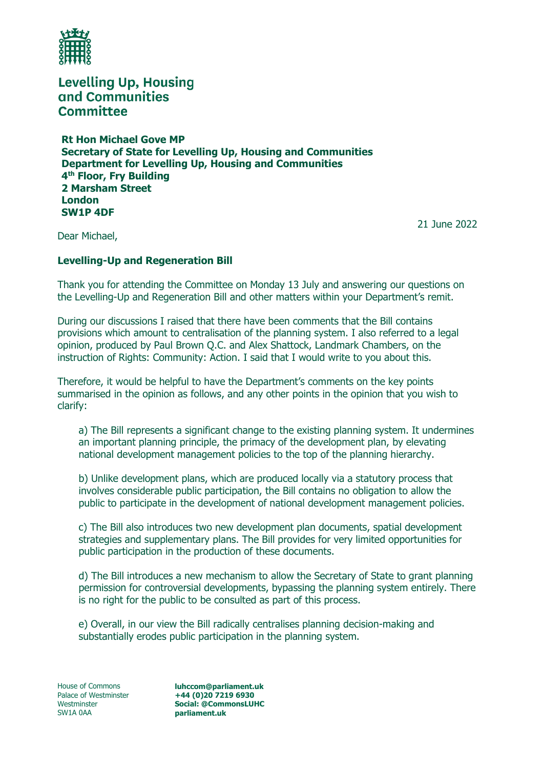

**Rt Hon Michael Gove MP Secretary of State for Levelling Up, Housing and Communities Department for Levelling Up, Housing and Communities 4 th Floor, Fry Building 2 Marsham Street London SW1P 4DF**

21 June 2022

Dear Michael,

#### **Levelling-Up and Regeneration Bill**

Thank you for attending the Committee on Monday 13 July and answering our questions on the Levelling-Up and Regeneration Bill and other matters within your Department's remit.

During our discussions I raised that there have been comments that the Bill contains provisions which amount to centralisation of the planning system. I also referred to a legal opinion, produced by Paul Brown Q.C. and Alex Shattock, Landmark Chambers, on the instruction of Rights: Community: Action. I said that I would write to you about this.

Therefore, it would be helpful to have the Department's comments on the key points summarised in the opinion as follows, and any other points in the opinion that you wish to clarify:

a) The Bill represents a significant change to the existing planning system. It undermines an important planning principle, the primacy of the development plan, by elevating national development management policies to the top of the planning hierarchy.

b) Unlike development plans, which are produced locally via a statutory process that involves considerable public participation, the Bill contains no obligation to allow the public to participate in the development of national development management policies.

c) The Bill also introduces two new development plan documents, spatial development strategies and supplementary plans. The Bill provides for very limited opportunities for public participation in the production of these documents.

d) The Bill introduces a new mechanism to allow the Secretary of State to grant planning permission for controversial developments, bypassing the planning system entirely. There is no right for the public to be consulted as part of this process.

e) Overall, in our view the Bill radically centralises planning decision-making and substantially erodes public participation in the planning system.

House of Commons Palace of Westminster Westminster SW1A 0AA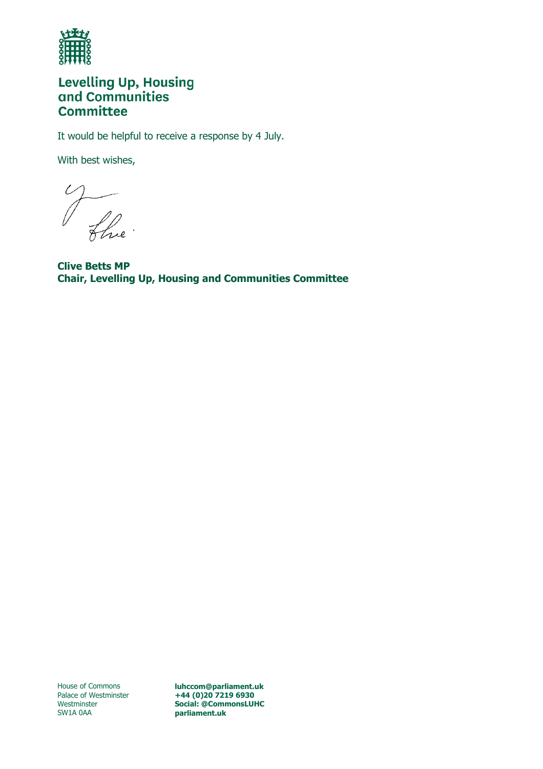

It would be helpful to receive a response by 4 July.

With best wishes,

The

**Clive Betts MP Chair, Levelling Up, Housing and Communities Committee**

House of Commons Palace of Westminster Westminster SW1A 0AA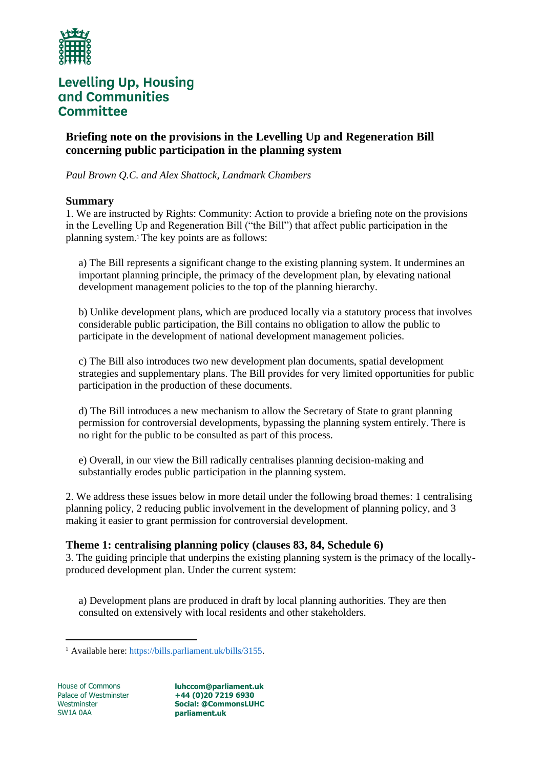

**Briefing note on the provisions in the Levelling Up and Regeneration Bill concerning public participation in the planning system** 

*Paul Brown Q.C. and Alex Shattock, Landmark Chambers* 

#### **Summary**

1. We are instructed by Rights: Community: Action to provide a briefing note on the provisions in the Levelling Up and Regeneration Bill ("the Bill") that affect public participation in the planning system.<sup>1</sup> The key points are as follows:

a) The Bill represents a significant change to the existing planning system. It undermines an important planning principle, the primacy of the development plan, by elevating national development management policies to the top of the planning hierarchy.

b) Unlike development plans, which are produced locally via a statutory process that involves considerable public participation, the Bill contains no obligation to allow the public to participate in the development of national development management policies.

c) The Bill also introduces two new development plan documents, spatial development strategies and supplementary plans. The Bill provides for very limited opportunities for public participation in the production of these documents.

d) The Bill introduces a new mechanism to allow the Secretary of State to grant planning permission for controversial developments, bypassing the planning system entirely. There is no right for the public to be consulted as part of this process.

e) Overall, in our view the Bill radically centralises planning decision-making and substantially erodes public participation in the planning system.

2. We address these issues below in more detail under the following broad themes: 1 centralising planning policy, 2 reducing public involvement in the development of planning policy, and 3 making it easier to grant permission for controversial development.

#### **Theme 1: centralising planning policy (clauses 83, 84, Schedule 6)**

3. The guiding principle that underpins the existing planning system is the primacy of the locallyproduced development plan. Under the current system:

a) Development plans are produced in draft by local planning authorities. They are then consulted on extensively with local residents and other stakeholders.

House of Commons Palace of Westminster **Westminster** SW1A 0AA

<sup>1</sup> Available here: https://bills.parliament.uk/bills/3155.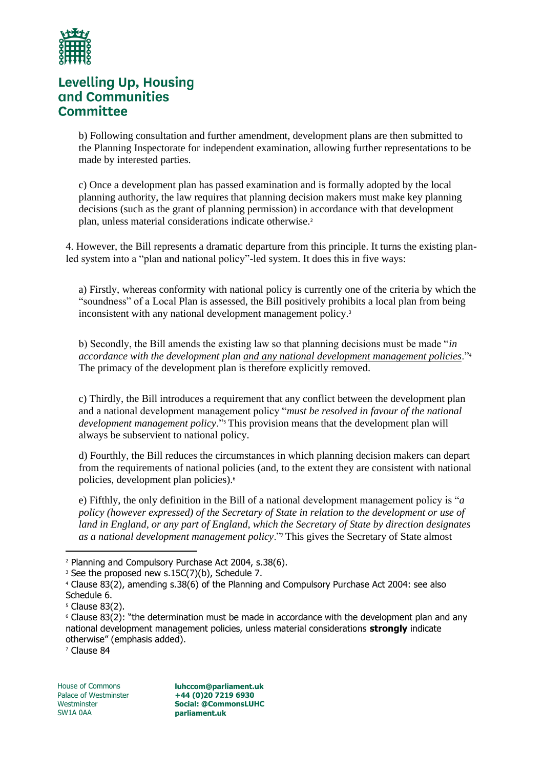

b) Following consultation and further amendment, development plans are then submitted to the Planning Inspectorate for independent examination, allowing further representations to be made by interested parties.

c) Once a development plan has passed examination and is formally adopted by the local planning authority, the law requires that planning decision makers must make key planning decisions (such as the grant of planning permission) in accordance with that development plan, unless material considerations indicate otherwise.<sup>2</sup>

4. However, the Bill represents a dramatic departure from this principle. It turns the existing planled system into a "plan and national policy"-led system. It does this in five ways:

a) Firstly, whereas conformity with national policy is currently one of the criteria by which the "soundness" of a Local Plan is assessed, the Bill positively prohibits a local plan from being inconsistent with any national development management policy.<sup>3</sup>

b) Secondly, the Bill amends the existing law so that planning decisions must be made "*in accordance with the development plan and any national development management policies*."<sup>4</sup> The primacy of the development plan is therefore explicitly removed.

c) Thirdly, the Bill introduces a requirement that any conflict between the development plan and a national development management policy "*must be resolved in favour of the national development management policy*."<sup>5</sup> This provision means that the development plan will always be subservient to national policy.

d) Fourthly, the Bill reduces the circumstances in which planning decision makers can depart from the requirements of national policies (and, to the extent they are consistent with national policies, development plan policies).<sup>6</sup>

e) Fifthly, the only definition in the Bill of a national development management policy is "*a policy (however expressed) of the Secretary of State in relation to the development or use of land in England, or any part of England, which the Secretary of State by direction designates as a national development management policy*."<sup>7</sup> This gives the Secretary of State almost

<sup>7</sup> Clause 84

<sup>2</sup> Planning and Compulsory Purchase Act 2004, s.38(6).

<sup>&</sup>lt;sup>3</sup> See the proposed new s.15C(7)(b), Schedule 7.

<sup>4</sup> Clause 83(2), amending s.38(6) of the Planning and Compulsory Purchase Act 2004: see also Schedule 6.

<sup>5</sup> Clause 83(2).

<sup>6</sup> Clause 83(2): "the determination must be made in accordance with the development plan and any national development management policies, unless material considerations **strongly** indicate otherwise" (emphasis added).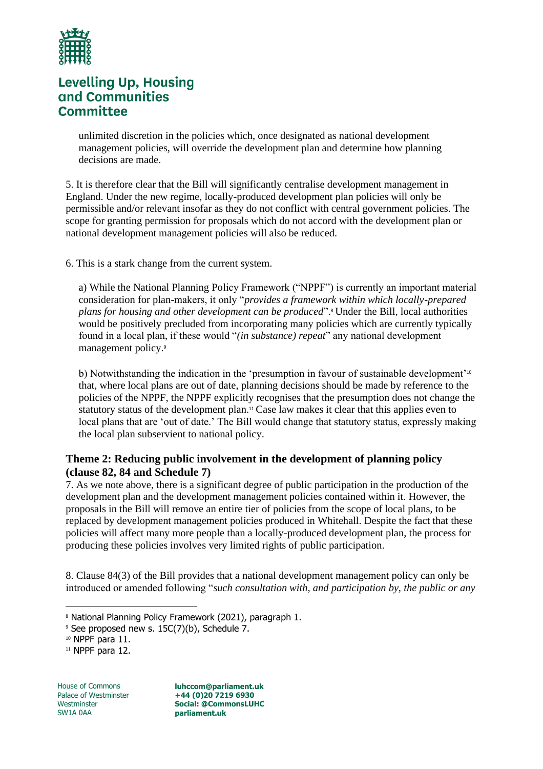

unlimited discretion in the policies which, once designated as national development management policies, will override the development plan and determine how planning decisions are made.

5. It is therefore clear that the Bill will significantly centralise development management in England. Under the new regime, locally-produced development plan policies will only be permissible and/or relevant insofar as they do not conflict with central government policies. The scope for granting permission for proposals which do not accord with the development plan or national development management policies will also be reduced.

6. This is a stark change from the current system.

a) While the National Planning Policy Framework ("NPPF") is currently an important material consideration for plan-makers, it only "*provides a framework within which locally-prepared plans for housing and other development can be produced*".<sup>8</sup> Under the Bill, local authorities would be positively precluded from incorporating many policies which are currently typically found in a local plan, if these would "*(in substance) repeat*" any national development management policy.<sup>9</sup>

b) Notwithstanding the indication in the 'presumption in favour of sustainable development'<sup>10</sup> that, where local plans are out of date, planning decisions should be made by reference to the policies of the NPPF, the NPPF explicitly recognises that the presumption does not change the statutory status of the development plan.<sup>11</sup> Case law makes it clear that this applies even to local plans that are 'out of date.' The Bill would change that statutory status, expressly making the local plan subservient to national policy.

#### **Theme 2: Reducing public involvement in the development of planning policy (clause 82, 84 and Schedule 7)**

7. As we note above, there is a significant degree of public participation in the production of the development plan and the development management policies contained within it. However, the proposals in the Bill will remove an entire tier of policies from the scope of local plans, to be replaced by development management policies produced in Whitehall. Despite the fact that these policies will affect many more people than a locally-produced development plan, the process for producing these policies involves very limited rights of public participation.

8. Clause 84(3) of the Bill provides that a national development management policy can only be introduced or amended following "*such consultation with, and participation by, the public or any* 

House of Commons Palace of Westminster **Westminster** SW1A 0AA

<sup>&</sup>lt;sup>8</sup> National Planning Policy Framework (2021), paragraph 1.

<sup>&</sup>lt;sup>9</sup> See proposed new s. 15C(7)(b), Schedule 7.

<sup>10</sup> NPPF para 11.

<sup>&</sup>lt;sup>11</sup> NPPF para 12.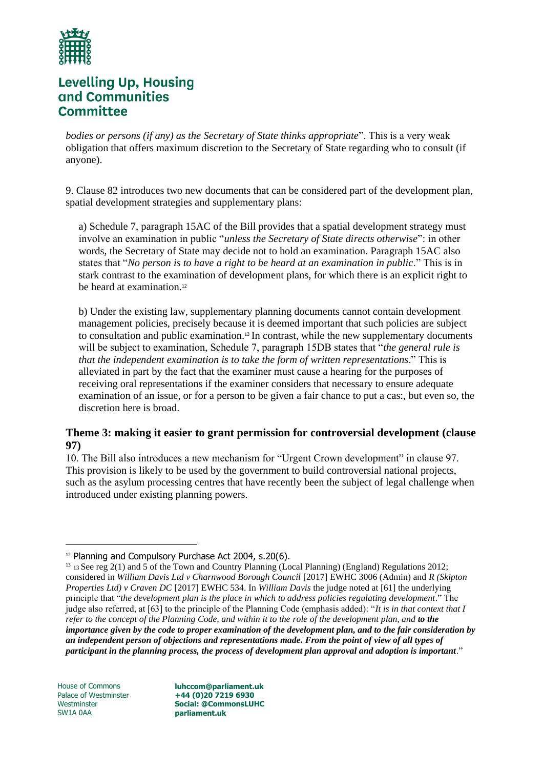

*bodies or persons (if any) as the Secretary of State thinks appropriate*". This is a very weak obligation that offers maximum discretion to the Secretary of State regarding who to consult (if anyone).

9. Clause 82 introduces two new documents that can be considered part of the development plan, spatial development strategies and supplementary plans:

a) Schedule 7, paragraph 15AC of the Bill provides that a spatial development strategy must involve an examination in public "*unless the Secretary of State directs otherwise*": in other words, the Secretary of State may decide not to hold an examination. Paragraph 15AC also states that "*No person is to have a right to be heard at an examination in public*." This is in stark contrast to the examination of development plans, for which there is an explicit right to be heard at examination.<sup>12</sup>

b) Under the existing law, supplementary planning documents cannot contain development management policies, precisely because it is deemed important that such policies are subject to consultation and public examination.<sup>13</sup> In contrast, while the new supplementary documents will be subject to examination, Schedule 7, paragraph 15DB states that "*the general rule is that the independent examination is to take the form of written representations*." This is alleviated in part by the fact that the examiner must cause a hearing for the purposes of receiving oral representations if the examiner considers that necessary to ensure adequate examination of an issue, or for a person to be given a fair chance to put a cas:, but even so, the discretion here is broad.

### **Theme 3: making it easier to grant permission for controversial development (clause 97)**

10. The Bill also introduces a new mechanism for "Urgent Crown development" in clause 97. This provision is likely to be used by the government to build controversial national projects, such as the asylum processing centres that have recently been the subject of legal challenge when introduced under existing planning powers.

House of Commons Palace of Westminster **Westminster** SW1A 0AA

<sup>&</sup>lt;sup>12</sup> Planning and Compulsory Purchase Act 2004, s.20(6).

<sup>13</sup> <sup>13</sup>See reg 2(1) and 5 of the Town and Country Planning (Local Planning) (England) Regulations 2012; considered in *William Davis Ltd v Charnwood Borough Council* [2017] EWHC 3006 (Admin) and *R (Skipton Properties Ltd) v Craven DC* [2017] EWHC 534. In *William Davis* the judge noted at [61] the underlying principle that "*the development plan is the place in which to address policies regulating development*." The judge also referred, at [63] to the principle of the Planning Code (emphasis added): "*It is in that context that I refer to the concept of the Planning Code, and within it to the role of the development plan, and to the importance given by the code to proper examination of the development plan, and to the fair consideration by an independent person of objections and representations made. From the point of view of all types of participant in the planning process, the process of development plan approval and adoption is important*."